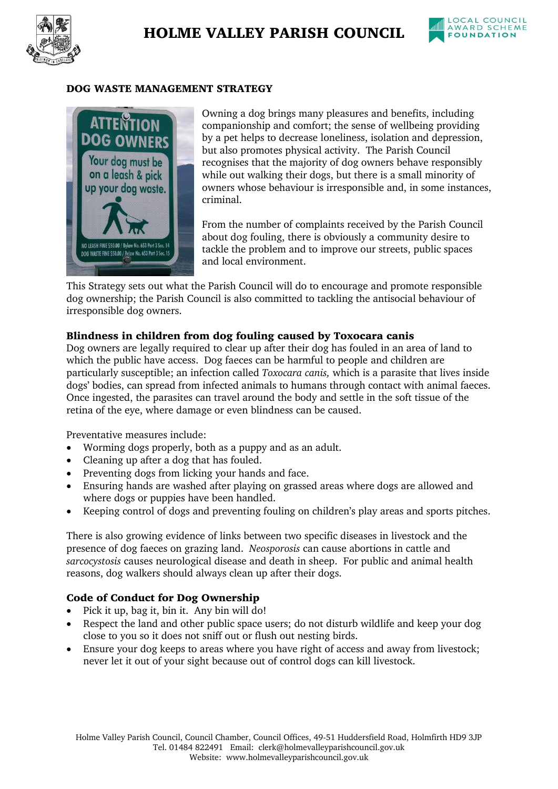



#### DOG WASTE MANAGEMENT STRATEGY



Owning a dog brings many pleasures and benefits, including companionship and comfort; the sense of wellbeing providing by a pet helps to decrease loneliness, isolation and depression, but also promotes physical activity. The Parish Council recognises that the majority of dog owners behave responsibly while out walking their dogs, but there is a small minority of owners whose behaviour is irresponsible and, in some instances, criminal.

From the number of complaints received by the Parish Council about dog fouling, there is obviously a community desire to tackle the problem and to improve our streets, public spaces and local environment.

This Strategy sets out what the Parish Council will do to encourage and promote responsible dog ownership; the Parish Council is also committed to tackling the antisocial behaviour of irresponsible dog owners.

### Blindness in children from dog fouling caused by Toxocara canis

Dog owners are legally required to clear up after their dog has fouled in an area of land to which the public have access. Dog faeces can be harmful to people and children are particularly susceptible; an infection called *Toxocara canis,* which is a parasite that lives inside dogs' bodies, can spread from infected animals to humans through contact with animal faeces. Once ingested, the parasites can travel around the body and settle in the soft tissue of the retina of the eye, where damage or even blindness can be caused.

Preventative measures include:

- Worming dogs properly, both as a puppy and as an adult.
- Cleaning up after a dog that has fouled.
- Preventing dogs from licking your hands and face.
- Ensuring hands are washed after playing on grassed areas where dogs are allowed and where dogs or puppies have been handled.
- Keeping control of dogs and preventing fouling on children's play areas and sports pitches.

There is also growing evidence of links between two specific diseases in livestock and the presence of dog faeces on grazing land. *Neosporosis* can cause abortions in cattle and *sarcocystosis* causes neurological disease and death in sheep. For public and animal health reasons, dog walkers should always clean up after their dogs.

### Code of Conduct for Dog Ownership

- Pick it up, bag it, bin it. Any bin will do!
- Respect the land and other public space users; do not disturb wildlife and keep your dog close to you so it does not sniff out or flush out nesting birds.
- Ensure your dog keeps to areas where you have right of access and away from livestock; never let it out of your sight because out of control dogs can kill livestock.